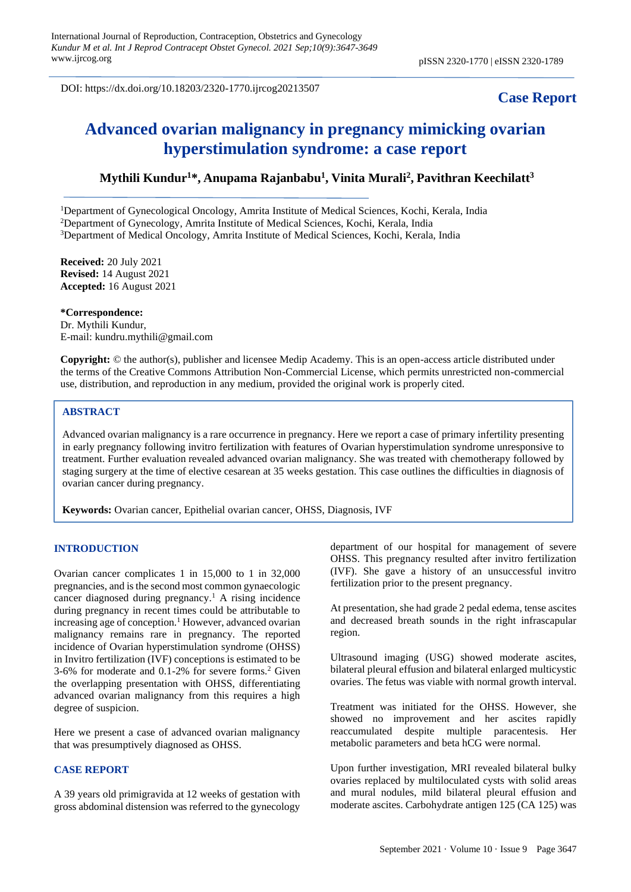DOI: https://dx.doi.org/10.18203/2320-1770.ijrcog20213507

# **Case Report**

# **Advanced ovarian malignancy in pregnancy mimicking ovarian hyperstimulation syndrome: a case report**

# **Mythili Kundur<sup>1</sup>\*, Anupama Rajanbabu<sup>1</sup> , Vinita Murali<sup>2</sup> , Pavithran Keechilatt<sup>3</sup>**

<sup>1</sup>Department of Gynecological Oncology, Amrita Institute of Medical Sciences, Kochi, Kerala, India <sup>2</sup>Department of Gynecology, Amrita Institute of Medical Sciences, Kochi, Kerala, India <sup>3</sup>Department of Medical Oncology, Amrita Institute of Medical Sciences, Kochi, Kerala, India

**Received:** 20 July 2021 **Revised:** 14 August 2021 **Accepted:** 16 August 2021

**\*Correspondence:** Dr. Mythili Kundur, E-mail: kundru.mythili@gmail.com

**Copyright:** © the author(s), publisher and licensee Medip Academy. This is an open-access article distributed under the terms of the Creative Commons Attribution Non-Commercial License, which permits unrestricted non-commercial use, distribution, and reproduction in any medium, provided the original work is properly cited.

# **ABSTRACT**

Advanced ovarian malignancy is a rare occurrence in pregnancy. Here we report a case of primary infertility presenting in early pregnancy following invitro fertilization with features of Ovarian hyperstimulation syndrome unresponsive to treatment. Further evaluation revealed advanced ovarian malignancy. She was treated with chemotherapy followed by staging surgery at the time of elective cesarean at 35 weeks gestation. This case outlines the difficulties in diagnosis of ovarian cancer during pregnancy.

**Keywords:** Ovarian cancer, Epithelial ovarian cancer, OHSS, Diagnosis, IVF

# **INTRODUCTION**

Ovarian cancer complicates 1 in 15,000 to 1 in 32,000 pregnancies, and is the second most common gynaecologic cancer diagnosed during pregnancy.<sup>1</sup> A rising incidence during pregnancy in recent times could be attributable to increasing age of conception.<sup>1</sup> However, advanced ovarian malignancy remains rare in pregnancy. The reported incidence of Ovarian hyperstimulation syndrome (OHSS) in Invitro fertilization (IVF) conceptions is estimated to be  $3-6\%$  for moderate and  $0.1-2\%$  for severe forms.<sup>2</sup> Given the overlapping presentation with OHSS, differentiating advanced ovarian malignancy from this requires a high degree of suspicion.

Here we present a case of advanced ovarian malignancy that was presumptively diagnosed as OHSS.

#### **CASE REPORT**

A 39 years old primigravida at 12 weeks of gestation with gross abdominal distension was referred to the gynecology

department of our hospital for management of severe OHSS. This pregnancy resulted after invitro fertilization (IVF). She gave a history of an unsuccessful invitro fertilization prior to the present pregnancy.

At presentation, she had grade 2 pedal edema, tense ascites and decreased breath sounds in the right infrascapular region.

Ultrasound imaging (USG) showed moderate ascites, bilateral pleural effusion and bilateral enlarged multicystic ovaries. The fetus was viable with normal growth interval.

Treatment was initiated for the OHSS. However, she showed no improvement and her ascites rapidly reaccumulated despite multiple paracentesis. Her metabolic parameters and beta hCG were normal.

Upon further investigation, MRI revealed bilateral bulky ovaries replaced by multiloculated cysts with solid areas and mural nodules, mild bilateral pleural effusion and moderate ascites. Carbohydrate antigen 125 (CA 125) was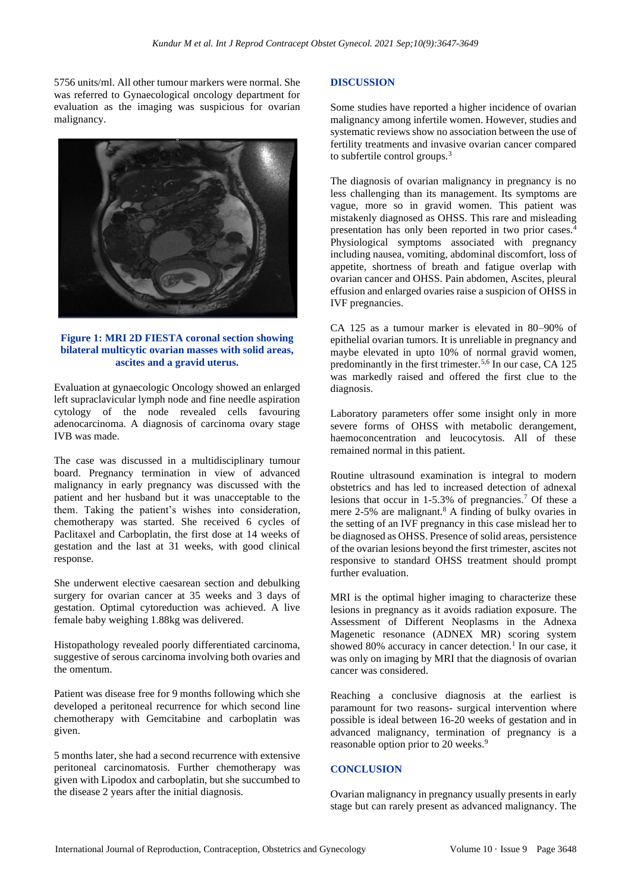5756 units/ml. All other tumour markers were normal. She was referred to Gynaecological oncology department for evaluation as the imaging was suspicious for ovarian malignancy.



# **Figure 1: MRI 2D FIESTA coronal section showing bilateral multicytic ovarian masses with solid areas, ascites and a gravid uterus.**

Evaluation at gynaecologic Oncology showed an enlarged left supraclavicular lymph node and fine needle aspiration cytology of the node revealed cells favouring adenocarcinoma. A diagnosis of carcinoma ovary stage IVB was made.

The case was discussed in a multidisciplinary tumour board. Pregnancy termination in view of advanced malignancy in early pregnancy was discussed with the patient and her husband but it was unacceptable to the them. Taking the patient's wishes into consideration, chemotherapy was started. She received 6 cycles of Paclitaxel and Carboplatin, the first dose at 14 weeks of gestation and the last at 31 weeks, with good clinical response.

She underwent elective caesarean section and debulking surgery for ovarian cancer at 35 weeks and 3 days of gestation. Optimal cytoreduction was achieved. A live female baby weighing 1.88kg was delivered.

Histopathology revealed poorly differentiated carcinoma, suggestive of serous carcinoma involving both ovaries and the omentum.

Patient was disease free for 9 months following which she developed a peritoneal recurrence for which second line chemotherapy with Gemcitabine and carboplatin was given.

5 months later, she had a second recurrence with extensive peritoneal carcinomatosis. Further chemotherapy was given with Lipodox and carboplatin, but she succumbed to the disease 2 years after the initial diagnosis.

## **DISCUSSION**

Some studies have reported a higher incidence of ovarian malignancy among infertile women. However, studies and systematic reviews show no association between the use of fertility treatments and invasive ovarian cancer compared to subfertile control groups.<sup>3</sup>

The diagnosis of ovarian malignancy in pregnancy is no less challenging than its management. Its symptoms are vague, more so in gravid women. This patient was mistakenly diagnosed as OHSS. This rare and misleading presentation has only been reported in two prior cases.<sup>4</sup> Physiological symptoms associated with pregnancy including nausea, vomiting, abdominal discomfort, loss of appetite, shortness of breath and fatigue overlap with ovarian cancer and OHSS. Pain abdomen, Ascites, pleural effusion and enlarged ovaries raise a suspicion of OHSS in IVF pregnancies.

CA 125 as a tumour marker is elevated in 80–90% of epithelial ovarian tumors. It is unreliable in pregnancy and maybe elevated in upto 10% of normal gravid women, predominantly in the first trimester.<sup>5,6</sup> In our case, CA 125 was markedly raised and offered the first clue to the diagnosis.

Laboratory parameters offer some insight only in more severe forms of OHSS with metabolic derangement, haemoconcentration and leucocytosis. All of these remained normal in this patient.

Routine ultrasound examination is integral to modern obstetrics and has led to increased detection of adnexal lesions that occur in 1-5.3% of pregnancies.<sup>7</sup> Of these a mere 2-5% are malignant.<sup>8</sup> A finding of bulky ovaries in the setting of an IVF pregnancy in this case mislead her to be diagnosed as OHSS. Presence of solid areas, persistence of the ovarian lesions beyond the first trimester, ascites not responsive to standard OHSS treatment should prompt further evaluation.

MRI is the optimal higher imaging to characterize these lesions in pregnancy as it avoids radiation exposure. The Assessment of Different Neoplasms in the Adnexa Magenetic resonance (ADNEX MR) scoring system showed 80% accuracy in cancer detection.<sup>1</sup> In our case, it was only on imaging by MRI that the diagnosis of ovarian cancer was considered.

Reaching a conclusive diagnosis at the earliest is paramount for two reasons- surgical intervention where possible is ideal between 16-20 weeks of gestation and in advanced malignancy, termination of pregnancy is a reasonable option prior to 20 weeks.<sup>9</sup>

## **CONCLUSION**

Ovarian malignancy in pregnancy usually presents in early stage but can rarely present as advanced malignancy. The